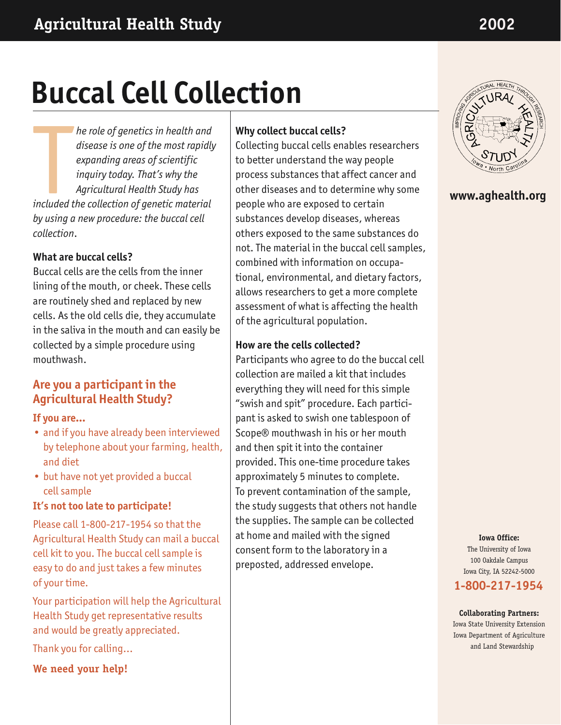# **Buccal Cell Collection**

*he role of genetics in health and disease is one of the most rapidly expanding areas of scientific inquiry today. That's why the Agricultural Health Study has increase to the most rapidlent and disease is one of the most rapidlent expanding areas of scientific inquiry today. That's why the Agricultural Health Study has included the collection of genetic material by using a new procedure: the buccal cell collection*.

## **What are buccal cells?**

Buccal cells are the cells from the inner lining of the mouth, or cheek. These cells are routinely shed and replaced by new cells. As the old cells die, they accumulate in the saliva in the mouth and can easily be collected by a simple procedure using mouthwash.

## **Are you a participant in the Agricultural Health Study?**

#### **If you are…**

- and if you have already been interviewed by telephone about your farming, health, and diet
- but have not yet provided a buccal cell sample

## **It's not too late to participate!**

Please call 1-800-217-1954 so that the Agricultural Health Study can mail a buccal cell kit to you. The buccal cell sample is easy to do and just takes a few minutes of your time.

Your participation will help the Agricultural Health Study get representative results and would be greatly appreciated.

Thank you for calling…

**We need your help!**

#### **Why collect buccal cells?**

Collecting buccal cells enables researchers to better understand the way people process substances that affect cancer and other diseases and to determine why some people who are exposed to certain substances develop diseases, whereas others exposed to the same substances do not. The material in the buccal cell samples, combined with information on occupational, environmental, and dietary factors, allows researchers to get a more complete assessment of what is affecting the health of the agricultural population.

## **How are the cells collected?**

Participants who agree to do the buccal cell collection are mailed a kit that includes everything they will need for this simple "swish and spit" procedure. Each participant is asked to swish one tablespoon of Scope® mouthwash in his or her mouth and then spit it into the container provided. This one-time procedure takes approximately 5 minutes to complete. To prevent contamination of the sample, the study suggests that others not handle the supplies. The sample can be collected at home and mailed with the signed consent form to the laboratory in a preposted, addressed envelope.



## **www.aghealth.org**

**Iowa Office:** The University of Iowa 100 Oakdale Campus Iowa City, IA 52242-5000 **1-800-217-1954**

## **Collaborating Partners:** Iowa State University Extension

Iowa Department of Agriculture and Land Stewardship